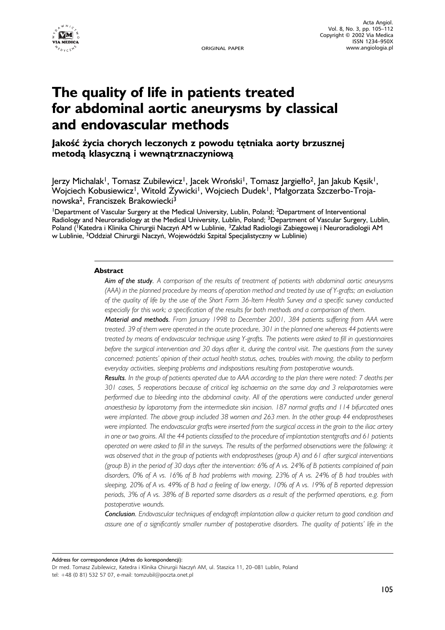

ORIGINAL PAPER

# **The quality of life in patients treated for abdominal aortic aneurysms by classical and endovascular methods**

**Jakość życia chorych leczonych z powodu tętniaka aorty brzusznej metodą klasyczną i wewnątrznaczyniową**

 $|$ erzy Michalak<sup>1</sup>, Tomasz Zubilewicz<sup>1</sup>, Jacek Wroński<sup>1</sup>, Tomasz Jargiełło<sup>2</sup>, Jan Jakub Kęsik<sup>1</sup>, Wojciech Kobusiewicz<sup>1</sup>, Witold Zywicki<sup>1</sup>, Wojciech Dudek<sup>1</sup>, Małgorzata Szczerbo-Trojanowska2, Franciszek Brakowiecki3

<sup>1</sup>Department of Vascular Surgery at the Medical University, Lublin, Poland; <sup>2</sup>Department of Interventional Radiology and Neuroradiology at the Medical University, Lublin, Poland; 3Department of Vascular Surgery, Lublin, Poland (<sup>1</sup>Katedra i Klinika Chirurgii Naczyń AM w Lublinie, <sup>3</sup>Zakład Radiologii Zabiegowej i Neuroradiologii AM w Lublinie, 3Oddział Chirurgii Naczyń, Wojewódzki Szpital Specjalistyczny w Lublinie)

# **Abstract**

*Aim of the study. A comparison of the results of treatment of patients with abdominal aortic aneurysms (AAA) in the planned procedure by means of operation method and treated by use of Y-grafts; an evaluation of the quality of life by the use of the Short Form 36-Item Health Survey and a specific survey conducted especially for this work; a specification of the results for both methods and a comparison of them.*

*Material and methods. From January 1998 to December 2001, 384 patients suffering from AAA were treated. 39 of them were operated in the acute procedure, 301 in the planned one whereas 44 patients were treated by means of endovascular technique using Y-grafts. The patients were asked to fill in questionnaires before the surgical intervention and 30 days after it, during the control visit. The questions from the survey concerned: patients' opinion of their actual health status, aches, troubles with moving, the ability to perform everyday activities, sleeping problems and indispositions resulting from postoperative wounds.*

*Results. In the group of patients operated due to AAA according to the plan there were noted: 7 deaths per 301 cases, 5 reoperations because of critical leg ischaemia on the same day and 3 relaparotomies were performed due to bleeding into the abdominal cavity. All of the operations were conducted under general anaesthesia by laparotomy from the intermediate skin incision. 187 normal grafts and 114 bifurcated ones were implanted. The above group included 38 women and 263 men. In the other group 44 endoprostheses were implanted. The endovascular grafts were inserted from the surgical access in the groin to the iliac artery in one or two groins. All the 44 patients classified to the procedure of implantation stentgrafts and 61 patients operated on were asked to fill in the surveys. The results of the performed observations were the following: it was observed that in the group of patients with endoprostheses (group A) and 61 after surgical interventions (group B) in the period of 30 days after the intervention: 6% of A vs. 24% of B patients complained of pain disorders, 0% of A vs. 16% of B had problems with moving, 23% of A vs. 24% of B had troubles with sleeping, 20% of A vs. 49% of B had a feeling of low energy, 10% of A vs. 19% of B reported depression periods, 3% of A vs. 38% of B reported some disorders as a result of the performed operations, e.g. from postoperative wounds.*

*Conclusion. Endovascular techniques of endograft implantation allow a quicker return to good condition and assure one of a significantly smaller number of postoperative disorders. The quality of patients' life in the*

Address for correspondence (Adres do korespondencji):

Dr med. Tomasz Zubilewicz, Katedra i Klinika Chirurgii Naczyń AM, ul. Staszica 11, 20–081 Lublin, Poland tel: +48 (0 81) 532 57 07, e-mail: tomzubil@poczta.onet.pl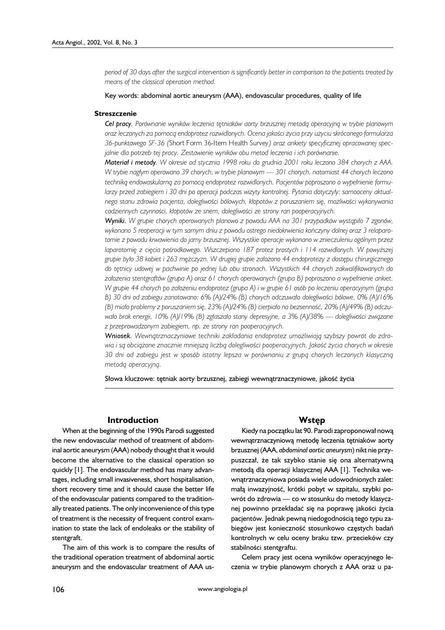*period of 30 days after the surgical intervention is significantly better in comparison to the patients treated by means of the classical operation method.*

Key words: abdominal aortic aneurysm (AAA), endovascular procedures, quality of life

#### **Streszczenie**

*Cel pracy.Porównanie wyników leczenia tętniaków aorty brzusznej metodą operacyjną w trybie planowym oraz leczonych za pomocą endoprotez rozwidlonych. Ocena jakości życia przy użyciu skróconego formularza* 36-punktowego SF-36 (Short Form 36-ltem Health Survey) oraz ankiety specyficznej opracowanej spec*jalnie dla potrzeb tej pracy. Zestawienie wyników obu metod leczenia i ich porównanie.*

*Materiał i metody. W okresie od stycznia 1998 roku do grudnia 2001 roku leczono 384 chorych z AAA. W trybie nagłym operowano 39 chorych, w trybie planowym — 301 chorych, natomiast 44 chorych leczono techniką endowaskularną za pomocą endoprotez rozwidlonych. Pacjentów poproszono o wypełnienie formularzy przed zabiegiem i 30 dni po operacji podczas wizyty kontrolnej. Pytania dotyczyły: samooceny aktualnego stanu zdrowia pacjenta, dolegliwości bólowych, kłopotów z poruszaniem się, możliwości wykonywania codziennych czynności, kłopotów ze snem, dolegliwości ze strony ran pooperacyjnych.*

*Wyniki. W grupie chorych operowanych planowo z powodu AAA na 301 przypadków wystąpiło 7 zgonów, wykonano 5 reoperacji w tym samym dniu z powodu ostrego niedokrwienia kończyny dolnej oraz 3 relaparotomie z powodu krwawienia do jamy brzusznej. Wszystkie operacje wykonano w znieczuleniu ogólnym przez laparotomię z cięcia pośrodkowego. Wszczepiono 187 protez prostych i 114 rozwidlonych. W powyższej grupie było 38 kobiet i 263 mężczyzn. W drugiej grupie założono 44 endoprotezy z dostępu chirurgicznego do tętnicy udowej w pachwinie po jednej lub obu stronach. Wszystkich 44 chorych zakwalifikowanych do założenia stentgraftów (grupa A) oraz 61 chorych operowanych (grupa B) poproszono o wypełnienie ankiet. W grupie 44 chorych po założeniu endoprotez (grupa A) i w grupie 61 osób po leczeniu operacyjnym (grupa B) 30 dni od zabiegu zanotowano: 6% (A)/24% (B) chorych odczuwało dolegliwości bólowe, 0% (A)/16% (B) miało problemy z poruszaniem się, 23% (A)/24% (B) cierpiało na bezsenność, 20% (A)/49% (B) odczuwało brak energii, 10% (A)/19% (B) zgłaszało stany depresyjne, a 3% (A)/38% — dolegliwości związane z przeprowadzonym zabiegiem, np. ze strony ran pooperacyjnych.*

*Wniosek. Wewnątrznaczyniowe techniki zakładania endoprotez umożliwiają szybszy powrót do zdrowia i są obciążone znacznie mniejszą liczbą dolegliwości pooperacyjnych. Jakość życia chorych w okresie 30 dni od zabiegu jest w sposób istotny lepsza w porównaniu z grupą chorych leczonych klasyczną metodą operacyjną.*

Słowa kluczowe: tętniak aorty brzusznej, zabiegi wewnątrznaczyniowe, jakość życia

#### **Introduction**

When at the beginning of the 1990s Parodi suggested the new endovascular method of treatment of abdominal aortic aneurysm (AAA) nobody thought that it would become the alternative to the classical operation so quickly [1]. The endovascular method has many advantages, including small invasiveness, short hospitalisation, short recovery time and it should cause the better life of the endovascular patients compared to the traditionally treated patients. The only inconvenience of this type of treatment is the necessity of frequent control examination to state the lack of endoleaks or the stability of stentgraft.

The aim of this work is to compare the results of the traditional operation treatment of abdominal aortic aneurysm and the endovascular treatment of AAA us-

#### **Wstęp**

Kiedy na początku lat 90. Parodi zaproponował nową wewnątrznaczyniową metodę leczenia tętniaków aorty brzusznej (AAA, *abdominal aortic aneurysm*) nikt nie przypuszczał, że tak szybko stanie się ona alternatywną metodą dla operacji klasycznej AAA [1]. Technika wewnątrznaczyniowa posiada wiele udowodnionych zalet: małą inwazyjność, krótki pobyt w szpitalu, szybki powrót do zdrowia — co w stosunku do metody klasycznej powinno przekładać się na poprawę jakości życia pacjentów. Jednak pewną niedogodnością tego typu zabiegów jest konieczność stosunkowo częstych badań kontrolnych w celu oceny braku tzw. przecieków czy stabilności stentgraftu.

Celem pracy jest ocena wyników operacyjnego leczenia w trybie planowym chorych z AAA oraz u pa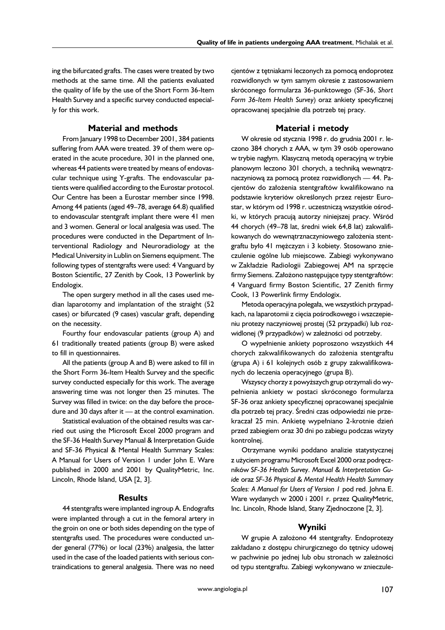ing the bifurcated grafts. The cases were treated by two methods at the same time. All the patients evaluated the quality of life by the use of the Short Form 36-Item Health Survey and a specific survey conducted especially for this work.

# **Material and methods**

From January 1998 to December 2001, 384 patients suffering from AAA were treated. 39 of them were operated in the acute procedure, 301 in the planned one, whereas 44 patients were treated by means of endovascular technique using Y-grafts. The endovascular patients were qualified according to the Eurostar protocol. Our Centre has been a Eurostar member since 1998. Among 44 patients (aged 49–78, average 64.8) qualified to endovascular stentgraft implant there were 41 men and 3 women. General or local analgesia was used. The procedures were conducted in the Department of Interventional Radiology and Neuroradiology at the Medical University in Lublin on Siemens equipment. The following types of stentgrafts were used: 4 Vanguard by Boston Scientific, 27 Zenith by Cook, 13 Powerlink by Endologix.

The open surgery method in all the cases used median laparotomy and implantation of the straight (52 cases) or bifurcated (9 cases) vascular graft, depending on the necessity.

Fourthy four endovascular patients (group A) and 61 traditionally treated patients (group B) were asked to fill in questionnaires.

All the patients (group A and B) were asked to fill in the Short Form 36-Item Health Survey and the specific survey conducted especially for this work. The average answering time was not longer then 25 minutes. The Survey was filled in twice: on the day before the procedure and 30 days after it — at the control examination.

Statistical evaluation of the obtained results was carried out using the Microsoft Excel 2000 program and the SF-36 Health Survey Manual & Interpretation Guide and SF-36 Physical & Mental Health Summary Scales: A Manual for Users of Version 1 under John E. Ware published in 2000 and 2001 by QualityMetric, Inc. Lincoln, Rhode Island, USA [2, 3].

# **Results**

44 stentgrafts were implanted ingroup A. Endografts were implanted through a cut in the femoral artery in the groin on one or both sides depending on the type of stentgrafts used. The procedures were conducted under general (77%) or local (23%) analgesia, the latter used in the case of the loaded patients with serious contraindications to general analgesia. There was no need cjentów z tętniakami leczonych za pomocą endoprotez rozwidlonych w tym samym okresie z zastosowaniem skróconego formularza 36-punktowego (SF-36, *Short Form 36-Item Health Survey*) oraz ankiety specyficznej opracowanej specjalnie dla potrzeb tej pracy.

# **Materiał i metody**

W okresie od stycznia 1998 r. do grudnia 2001 r. leczono 384 chorych z AAA, w tym 39 osób operowano w trybie nagłym. Klasyczną metodą operacyjną w trybie planowym leczono 301 chorych, a techniką wewnątrznaczyniową za pomocą protez rozwidlonych — 44. Pacjentów do założenia stentgraftów kwalifikowano na podstawie kryteriów określonych przez rejestr Eurostar, w którym od 1998 r. uczestniczą wszystkie ośrodki, w których pracują autorzy niniejszej pracy. Wśród 44 chorych (49–78 lat, średni wiek 64,8 lat) zakwalifikowanych do wewnątrznaczyniowego założenia stentgraftu było 41 mężczyzn i 3 kobiety. Stosowano znieczulenie ogólne lub miejscowe. Zabiegi wykonywano w Zakładzie Radiologii Zabiegowej AM na sprzęcie firmy Siemens. Założono następujące typy stentgraftów: 4 Vanguard firmy Boston Scientific, 27 Zenith firmy Cook, 13 Powerlink firmy Endologix.

Metoda operacyjna polegała, we wszystkich przypadkach, na laparotomii z cięcia pośrodkowego i wszczepieniu protezy naczyniowej prostej (52 przypadki) lub rozwidlonej (9 przypadków) w zależności od potrzeby.

O wypełnienie ankiety poproszono wszystkich 44 chorych zakwalifikowanych do założenia stentgraftu (grupa A) i 61 kolejnych osób z grupy zakwalifikowanych do leczenia operacyjnego (grupa B).

Wszyscy chorzy z powyższych grup otrzymali do wypełnienia ankiety w postaci skróconego formularza SF-36 oraz ankiety specyficznej opracowanej specjalnie dla potrzeb tej pracy. Średni czas odpowiedzi nie przekraczał 25 min. Ankietę wypełniano 2-krotnie dzień przed zabiegiem oraz 30 dni po zabiegu podczas wizyty kontrolnej.

Otrzymane wyniki poddano analizie statystycznej z użyciem programu Microsoft Excel 2000 oraz podręczników *SF-36 Health Survey*. *Manual & Interpretation Guide* oraz *SF-36 Physical & Mental Health Health Summary Scales: A Manual for Users of Version 1* pod red. Johna E. Ware wydanych w 2000 i 2001 r. przez QualityMetric, Inc. Lincoln, Rhode Island, Stany Zjednoczone [2, 3].

# **Wyniki**

W grupie A założono 44 stentgrafty. Endoprotezy zakładano z dostępu chirurgicznego do tętnicy udowej w pachwinie po jednej lub obu stronach w zależności od typu stentgraftu. Zabiegi wykonywano w znieczule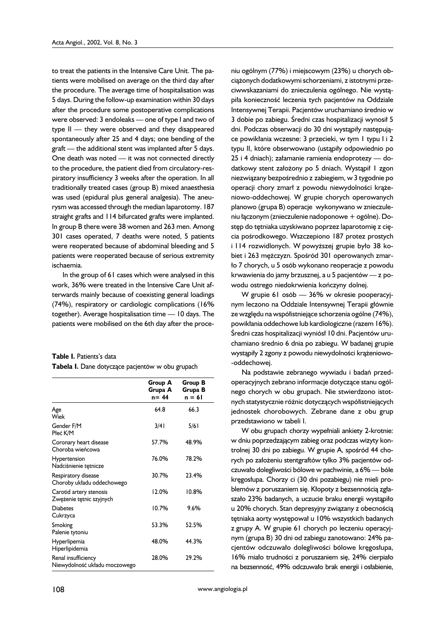to treat the patients in the Intensive Care Unit. The patients were mobilised on average on the third day after the procedure. The average time of hospitalisation was 5 days. During the follow-up examination within 30 days after the procedure some postoperative complications were observed: 3 endoleaks — one of type I and two of type II — they were observed and they disappeared spontaneously after 25 and 4 days; one bending of the graft — the additional stent was implanted after 5 days. One death was noted — it was not connected directly to the procedure, the patient died from circulatory-respiratory insufficiency 3 weeks after the operation. In all traditionally treated cases (group B) mixed anaesthesia was used (epidural plus general analgesia). The aneurysm was accessed through the median laparotomy. 187 straight grafts and 114 bifurcated grafts were implanted. In group B there were 38 women and 263 men. Among 301 cases operated, 7 deaths were noted, 5 patients were reoperated because of abdominal bleeding and 5 patients were reoperated because of serious extremity ischaemia.

In the group of 61 cases which were analysed in this work, 36% were treated in the Intensive Care Unit afterwards mainly because of coexisting general loadings (74%), respiratory or cardiologic complications (16% together). Average hospitalisation time — 10 days. The patients were mobilised on the 6th day after the proce-

| <b>Table I.</b> Patients's data                  |  |
|--------------------------------------------------|--|
| Tabela I. Dane dotyczące pacjentów w obu grupach |  |

|                                                      | Group A<br>Grupa A<br>$n = 44$ | Group B<br>Grupa B<br>n = 61 |
|------------------------------------------------------|--------------------------------|------------------------------|
| Age<br>Wiek                                          | 64.8                           | 66.3                         |
| Gender F/M<br>Płeć K/M                               | 3/41                           | 5/6 I                        |
| Coronary heart disease<br>Choroba wieńcowa           | 57.7%                          | 48.9%                        |
| Hypertension<br>Nadciśnienie tętnicze                | 76.0%                          | 78.2%                        |
| Respiratory disease<br>Choroby układu oddechowego    | 30.7%                          | 23.4%                        |
| Carotid artery stenosis<br>Zwężenie tętnic szyjnych  | 12.0%                          | 10.8%                        |
| <b>Diabetes</b><br>Cukrzyca                          | 10.7%                          | 9.6%                         |
| Smoking<br>Palenie tytoniu                           | 53.3%                          | 52.5%                        |
| Hyperlipemia<br>Hiperlipidemia                       | 48.0%                          | 44.3%                        |
| Renal insufficiency<br>Niewydolność układu moczowego | 28.0%                          | 29.2%                        |

niu ogólnym (77%) i miejscowym (23%) u chorych obciążonych dodatkowymi schorzeniami, z istotnymi przeciwwskazaniami do znieczulenia ogólnego. Nie wystąpiła konieczność leczenia tych pacjentów na Oddziale Intensywnej Terapii. Pacjentów uruchamiano średnio w 3 dobie po zabiegu. Średni czas hospitalizacji wynosił 5 dni. Podczas obserwacji do 30 dni wystąpiły następujące powikłania wczesne: 3 przecieki, w tym 1 typu I i 2 typu II, które obserwowano (ustąpiły odpowiednio po 25 i 4 dniach); załamanie ramienia endoprotezy — dodatkowy stent założony po 5 dniach. Wystąpił 1 zgon niezwiązany bezpośrednio z zabiegiem, w 3 tygodnie po operacji chory zmarł z powodu niewydolności krążeniowo-oddechowej. W grupie chorych operowanych planowo (grupa B) operacje wykonywano w znieczuleniu łączonym (znieczulenie nadoponowe + ogólne). Dostęp do tętniaka uzyskiwano poprzez laparotomię z cięcia pośrodkowego. Wszczepiono 187 protez prostych i 114 rozwidlonych. W powyższej grupie było 38 kobiet i 263 mężczyzn. Spośród 301 operowanych zmarło 7 chorych, u 5 osób wykonano reoperacje z powodu krwawienia do jamy brzusznej, a u 5 pacjentów — z powodu ostrego niedokrwienia kończyny dolnej.

W grupie 61 osób — 36% w okresie pooperacyjnym leczono na Oddziale Intensywnej Terapii głównie ze względu na współistniejące schorzenia ogólne (74%), powikłania oddechowe lub kardiologiczne (razem 16%). Średni czas hospitalizacji wyniósł 10 dni. Pacjentów uruchamiano średnio 6 dnia po zabiegu. W badanej grupie wystąpiły 2 zgony z powodu niewydolności krążeniowo- -oddechowej.

Na podstawie zebranego wywiadu i badań przedoperacyjnych zebrano informacje dotyczące stanu ogólnego chorych w obu grupach. Nie stwierdzono istotnych statystycznie różnic dotyczących współistniejących jednostek chorobowych. Zebrane dane z obu grup przedstawiono w tabeli I.

W obu grupach chorzy wypełniali ankiety 2-krotnie: w dniu poprzedzającym zabieg oraz podczas wizyty kontrolnej 30 dni po zabiegu. W grupie A, spośród 44 chorych po założeniu stentgraftów tylko 3% pacjentów odczuwało dolegliwości bólowe w pachwinie, a 6% — bóle kręgosłupa. Chorzy ci (30 dni pozabiegu) nie mieli problemów z poruszaniem się. Kłopoty z bezsennością zgłaszało 23% badanych, a uczucie braku energii wystąpiło u 20% chorych. Stan depresyjny związany z obecnością tętniaka aorty występował u 10% wszystkich badanych z grupy A. W grupie 61 chorych po leczeniu operacyjnym (grupa B) 30 dni od zabiegu zanotowano: 24% pacjentów odczuwało dolegliwości bólowe kręgosłupa, 16% miało trudności z poruszaniem się, 24% cierpiało na bezsenność, 49% odczuwało brak energii i osłabienie,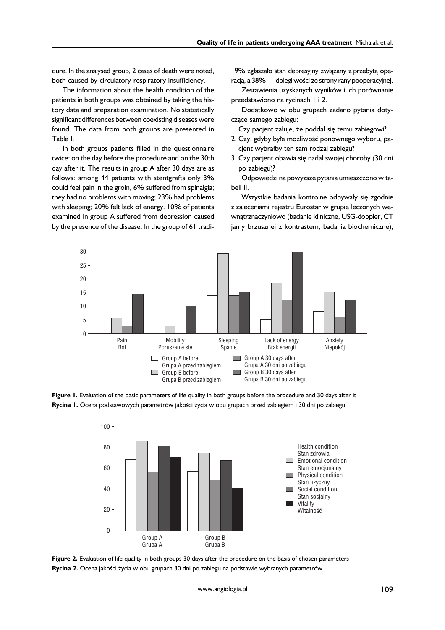dure. In the analysed group, 2 cases of death were noted, both caused by circulatory-respiratory insufficiency.

The information about the health condition of the patients in both groups was obtained by taking the history data and preparation examination. No statistically significant differences between coexisting diseases were found. The data from both groups are presented in Table I.

In both groups patients filled in the questionnaire twice: on the day before the procedure and on the 30th day after it. The results in group A after 30 days are as follows: among 44 patients with stentgrafts only 3% could feel pain in the groin, 6% suffered from spinalgia; they had no problems with moving; 23% had problems with sleeping; 20% felt lack of energy. 10% of patients examined in group A suffered from depression caused by the presence of the disease. In the group of 61 tradi19% zgłaszało stan depresyjny związany z przebytą operacją, a 38% — dolegliwości ze strony rany pooperacyjnej.

Zestawienia uzyskanych wyników i ich porównanie przedstawiono na rycinach 1 i 2.

Dodatkowo w obu grupach zadano pytania dotyczące samego zabiegu:

- 1. Czy pacjent żałuje, że poddał się temu zabiegowi?
- 2. Czy, gdyby była możliwość ponownego wyboru, pacjent wybrałby ten sam rodzaj zabiegu?
- 3. Czy pacjent obawia się nadal swojej choroby (30 dni po zabiegu)?

Odpowiedzi na powyższe pytania umieszczono w tabeli II.

Wszystkie badania kontrolne odbywały się zgodnie z zaleceniami rejestru Eurostar w grupie leczonych wewnątrznaczyniowo (badanie kliniczne, USG-doppler, CT jamy brzusznej z kontrastem, badania biochemiczne),



**Figure 1.** Evaluation of the basic parameters of life quality in both groups before the procedure and 30 days after it **Rycina 1.** Ocena podstawowych parametrów jakości życia w obu grupach przed zabiegiem i 30 dni po zabiegu



**Figure 2.** Evaluation of life quality in both groups 30 days after the procedure on the basis of chosen parameters **Rycina 2.** Ocena jakości życia w obu grupach 30 dni po zabiegu na podstawie wybranych parametrów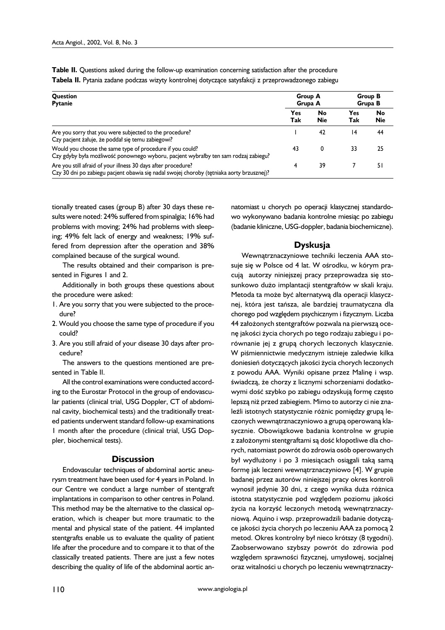**Table II.** Questions asked during the follow-up examination concerning satisfaction after the procedure **Tabela II.** Pytania zadane podczas wizyty kontrolnej dotyczące satysfakcji z przeprowadzonego zabiegu

| Question<br><b>Pytanie</b>                                                                                                                                 | <b>Group A</b><br>Grupa A |                  | Group B<br>Grupa B |                  |
|------------------------------------------------------------------------------------------------------------------------------------------------------------|---------------------------|------------------|--------------------|------------------|
|                                                                                                                                                            | Yes<br>Tak                | No<br><b>Nie</b> | Yes<br>Tak         | No<br><b>Nie</b> |
| Are you sorry that you were subjected to the procedure?<br>Czy pacjent żałuje, że poddał się temu zabiegowi?                                               |                           | 42               | 14                 | 44               |
| Would you choose the same type of procedure if you could?<br>Czy gdyby była możliwość ponownego wyboru, pacjent wybrałby ten sam rodzaj zabiegu?           | 43                        | 0                | 33                 | 25               |
| Are you still afraid of your illness 30 days after procedure?<br>Czy 30 dni po zabiegu pacjent obawia się nadal swojej choroby (tętniaka aorty brzusznej)? | 4                         | 39               |                    | 51               |

tionally treated cases (group B) after 30 days these results were noted: 24% suffered from spinalgia; 16% had problems with moving; 24% had problems with sleeping; 49% felt lack of energy and weakness; 19% suffered from depression after the operation and 38% complained because of the surgical wound.

The results obtained and their comparison is presented in Figures 1 and 2.

Additionally in both groups these questions about the procedure were asked:

- 1. Are you sorry that you were subjected to the procedure?
- 2. Would you choose the same type of procedure if you could?
- 3. Are you still afraid of your disease 30 days after procedure?

The answers to the questions mentioned are presented in Table II.

All the control examinations were conducted according to the Eurostar Protocol in the group of endovascular patients (clinical trial, USG Doppler, CT of abdominal cavity, biochemical tests) and the traditionally treated patients underwent standard follow-up examinations 1 month after the procedure (clinical trial, USG Doppler, biochemical tests).

### **Discussion**

Endovascular techniques of abdominal aortic aneurysm treatment have been used for 4 years in Poland. In our Centre we conduct a large number of stentgraft implantations in comparison to other centres in Poland. This method may be the alternative to the classical operation, which is cheaper but more traumatic to the mental and physical state of the patient. 44 implanted stentgrafts enable us to evaluate the quality of patient life after the procedure and to compare it to that of the classically treated patients. There are just a few notes describing the quality of life of the abdominal aortic annatomiast u chorych po operacji klasycznej standardowo wykonywano badania kontrolne miesiąc po zabiegu (badanie kliniczne, USG-doppler, badania biochemiczne).

# **Dyskusja**

Wewnątrznaczyniowe techniki leczenia AAA stosuje się w Polsce od 4 lat. W ośrodku, w kórym pracują autorzy niniejszej pracy przeprowadza się stosunkowo dużo implantacii stentgraftów w skali kraju. Metoda ta może być alternatywą dla operacji klasycznej, która jest tańsza, ale bardziej traumatyczna dla chorego pod względem psychicznym i fizycznym. Liczba 44 założonych stentgraftów pozwala na pierwszą ocenę jakości życia chorych po tego rodzaju zabiegu i porównanie jej z grupą chorych leczonych klasycznie. W piśmiennictwie medycznym istnieje zaledwie kilka doniesień dotyczących jakości życia chorych leczonych z powodu AAA. Wyniki opisane przez Malinę i wsp. świadczą, że chorzy z licznymi schorzeniami dodatkowymi dość szybko po zabiegu odzyskują formę często lepszą niż przed zabiegiem. Mimo to autorzy ci nie znaleźli istotnych statystycznie różnic pomiędzy grupą leczonych wewnątrznaczyniowo a grupą operowaną klasycznie. Obowiązkowe badania kontrolne w grupie z założonymi stentgraftami są dość kłopotliwe dla chorych, natomiast powrót do zdrowia osób operowanych był wydłużony i po 3 miesiącach osiągali taką samą formę jak leczeni wewnątrznaczyniowo [4]. W grupie badanej przez autorów niniejszej pracy okres kontroli wynosił jedynie 30 dni, z czego wynika duża różnica istotna statystycznie pod względem poziomu jakości życia na korzyść leczonych metodą wewnątrznaczyniową. Aquino i wsp. przeprowadzili badanie dotyczące jakości życia chorych po leczeniu AAA za pomocą 2 metod. Okres kontrolny był nieco krótszy (8 tygodni). Zaobserwowano szybszy powrót do zdrowia pod względem sprawności fizycznej, umysłowej, socjalnej oraz witalności u chorych po leczeniu wewnątrznaczy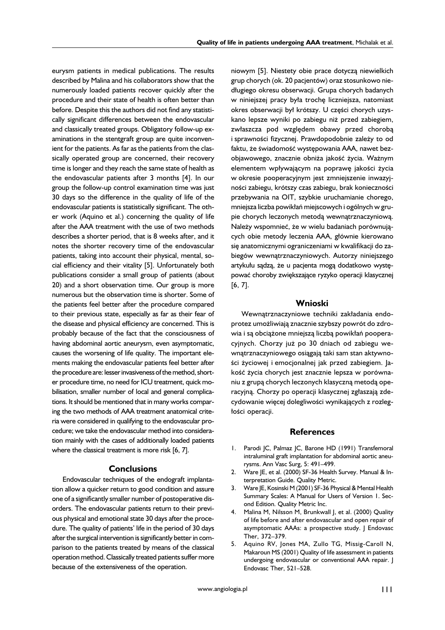eurysm patients in medical publications. The results described by Malina and his collaborators show that the numerously loaded patients recover quickly after the procedure and their state of health is often better than before. Despite this the authors did not find any statistically significant differences between the endovascular and classically treated groups. Obligatory follow-up examinations in the stentgraft group are quite inconvenient for the patients. As far as the patients from the classically operated group are concerned, their recovery time is longer and they reach the same state of health as the endovascular patients after 3 months [4]. In our group the follow-up control examination time was just 30 days so the difference in the quality of life of the endovascular patients is statistically significant. The other work (Aquino et al.) concerning the quality of life after the AAA treatment with the use of two methods describes a shorter period, that is 8 weeks after, and it notes the shorter recovery time of the endovascular patients, taking into account their physical, mental, social efficiency and their vitality [5]. Unfortunately both publications consider a small group of patients (about 20) and a short observation time. Our group is more numerous but the observation time is shorter. Some of the patients feel better after the procedure compared to their previous state, especially as far as their fear of the disease and physical efficiency are concerned. This is probably because of the fact that the consciousness of having abdominal aortic aneurysm, even asymptomatic, causes the worsening of life quality. The important elements making the endovascular patients feel better after the procedure are: lesser invasiveness of the method, shorter procedure time, no need for ICU treatment, quick mobilisation, smaller number of local and general complications. It should be mentioned that in many works comparing the two methods of AAA treatment anatomical criteria were considered in qualifying to the endovascular procedure; we take the endovascular method into consideration mainly with the cases of additionally loaded patients where the classical treatment is more risk [6, 7].

## **Conclusions**

Endovascular techniques of the endograft implantation allow a quicker return to good condition and assure one of a significantly smaller number of postoperative disorders. The endovascular patients return to their previous physical and emotional state 30 days after the procedure. The quality of patients' life in the period of 30 days after the surgical intervention is significantly better in comparison to the patients treated by means of the classical operation method. Classically treated patients suffer more because of the extensiveness of the operation.

niowym [5]. Niestety obie prace dotyczą niewielkich grup chorych (ok. 20 pacjentów) oraz stosunkowo niedługiego okresu obserwacji. Grupa chorych badanych w niniejszej pracy była trochę liczniejsza, natomiast okres obserwacji był krótszy. U części chorych uzyskano lepsze wyniki po zabiegu niż przed zabiegiem, zwłaszcza pod względem obawy przed chorobą i sprawności fizycznej. Prawdopodobnie zależy to od faktu, że świadomość występowania AAA, nawet bezobjawowego, znacznie obniża jakość życia. Ważnym elementem wpływającym na poprawę jakości życia w okresie pooperacyjnym jest zmniejszenie inwazyjności zabiegu, krótszy czas zabiegu, brak konieczności przebywania na OIT, szybkie uruchamianie chorego, mniejsza liczba powikłań miejscowych i ogólnych w grupie chorych leczonych metodą wewnątrznaczyniową. Należy wspomnieć, że w wielu badaniach porównujących obie metody leczenia AAA, głównie kierowano się anatomicznymi ograniczeniami w kwalifikacji do zabiegów wewnątrznaczyniowych. Autorzy niniejszego artykułu sądzą, że u pacjenta mogą dodatkowo występować choroby zwiększające ryzyko operacji klasycznej [6, 7].

# **Wnioski**

Wewnątrznaczyniowe techniki zakładania endoprotez umożliwiają znacznie szybszy powrót do zdrowia i są obciążone mniejszą liczbą powikłań pooperacyjnych. Chorzy już po 30 dniach od zabiegu wewnątrznaczyniowego osiągają taki sam stan aktywności życiowej i emocjonalnej jak przed zabiegiem. Jakość życia chorych jest znacznie lepsza w porównaniu z grupą chorych leczonych klasyczną metodą operacyjną. Chorzy po operacji klasycznej zgłaszają zdecydowanie więcej dolegliwości wynikających z rozległości operacji.

## **References**

- 1. Parodi JC, Palmaz JC, Barone HD (1991) Transfemoral intraluminal graft implantation for abdominal aortic aneurysms. Ann Vasc Surg, 5: 491–499.
- 2. Ware JE, et al. (2000) SF-36 Health Survey. Manual & Interpretation Guide. Quality Metric.
- 3. Ware JE, Kosinski M (2001) SF-36 Physical & Mental Health Summary Scales: A Manual for Users of Version 1. Second Edition. Quality Metric Inc.
- 4. Malina M, Nilsson M, Brunkwall J, et al. (2000) Quality of life before and after endovascular and open repair of asymptomatic AAAs: a prospective study. J Endovasc Ther, 372–379.
- 5. Aquino RV, Jones MA, Zullo TG, Missig-Caroll N, Makaroun MS (2001) Quality of life assessment in patients undergoing endovascular or conventional AAA repair. J Endovasc Ther, 521–528.